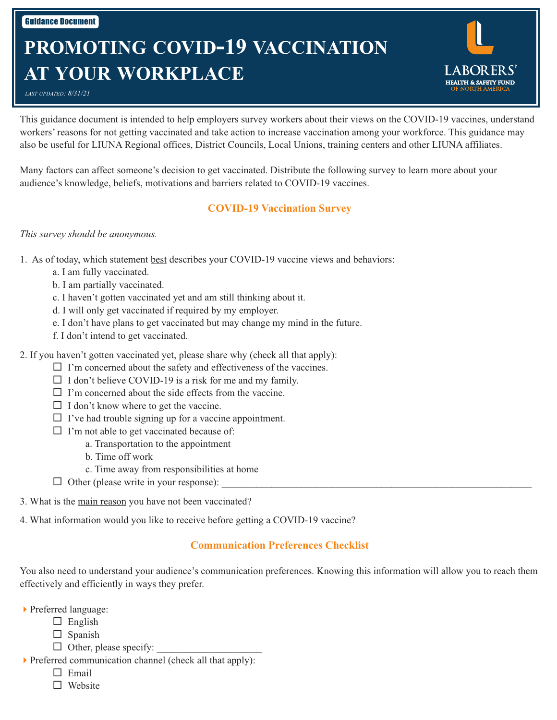# **PROMOTING COVID-19 VACCINATION AT YOUR WORKPLACE**

*LAST UPDATED: 8/31/21*

This guidance document is intended to help employers survey workers about their views on the COVID-19 vaccines, understand workers' reasons for not getting vaccinated and take action to increase vaccination among your workforce. This guidance may also be useful for LIUNA Regional offices, District Councils, Local Unions, training centers and other LIUNA affiliates.

**HEALTH & SAFETY FUND** 

Many factors can affect someone's decision to get vaccinated. Distribute the following survey to learn more about your audience's knowledge, beliefs, motivations and barriers related to COVID-19 vaccines.

# **COVID-19 Vaccination Survey**

## *This survey should be anonymous.*

- 1. As of today, which statement best describes your COVID-19 vaccine views and behaviors:
	- a. I am fully vaccinated.
	- b. I am partially vaccinated.
	- c. I haven't gotten vaccinated yet and am still thinking about it.
	- d. I will only get vaccinated if required by my employer.
	- e. I don't have plans to get vaccinated but may change my mind in the future.
	- f. I don't intend to get vaccinated.
- 2. If you haven't gotten vaccinated yet, please share why (check all that apply):
	- $\Box$  I'm concerned about the safety and effectiveness of the vaccines.
	- $\Box$  I don't believe COVID-19 is a risk for me and my family.
	- $\Box$  I'm concerned about the side effects from the vaccine.
	- $\Box$  I don't know where to get the vaccine.
	- $\Box$  I've had trouble signing up for a vaccine appointment.
	- $\Box$  I'm not able to get vaccinated because of:
		- a. Transportation to the appointment
		- b. Time off work
		- c. Time away from responsibilities at home
	- $\Box$  Other (please write in your response):
- 3. What is the main reason you have not been vaccinated?
- 4. What information would you like to receive before getting a COVID-19 vaccine?

# **Communication Preferences Checklist**

You also need to understand your audience's communication preferences. Knowing this information will allow you to reach them effectively and efficiently in ways they prefer.

- 4Preferred language:
	- $\Box$  English
		- $\square$  Spanish
		- $\Box$  Other, please specify:
- $\triangleright$  Preferred communication channel (check all that apply):
	- $\Box$  Email
	- □ Website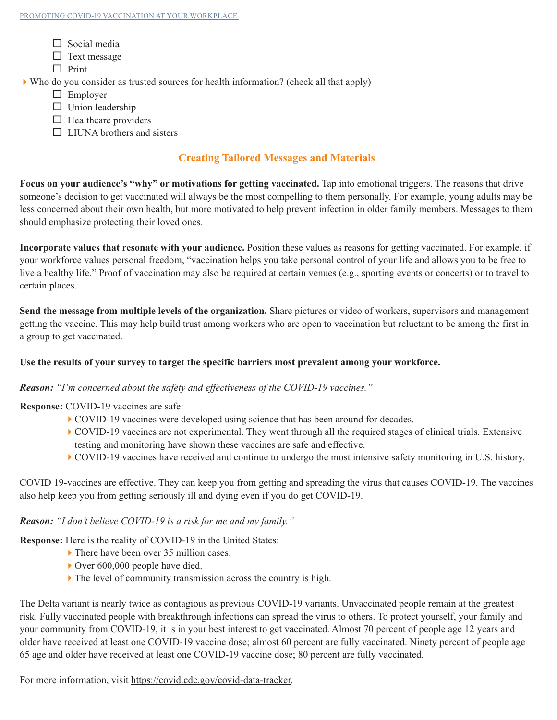- $\Box$  Social media
- $\Box$  Text message
- $\Box$  Print

 $\blacktriangleright$  Who do you consider as trusted sources for health information? (check all that apply)

- $\Box$  Employer
- $\Box$  Union leadership
- $\Box$  Healthcare providers
- $\Box$  LIUNA brothers and sisters

# **Creating Tailored Messages and Materials**

**Focus on your audience's "why" or motivations for getting vaccinated.** Tap into emotional triggers. The reasons that drive someone's decision to get vaccinated will always be the most compelling to them personally. For example, young adults may be less concerned about their own health, but more motivated to help prevent infection in older family members. Messages to them should emphasize protecting their loved ones.

**Incorporate values that resonate with your audience.** Position these values as reasons for getting vaccinated. For example, if your workforce values personal freedom, "vaccination helps you take personal control of your life and allows you to be free to live a healthy life." Proof of vaccination may also be required at certain venues (e.g., sporting events or concerts) or to travel to certain places.

**Send the message from multiple levels of the organization.** Share pictures or video of workers, supervisors and management getting the vaccine. This may help build trust among workers who are open to vaccination but reluctant to be among the first in a group to get vaccinated.

# **Use the results of your survey to target the specific barriers most prevalent among your workforce.**

## *Reason: "I'm concerned about the safety and effectiveness of the COVID-19 vaccines."*

**Response:** COVID-19 vaccines are safe:

- $\blacktriangleright$  COVID-19 vaccines were developed using science that has been around for decades.
- 4COVID-19 vaccines are not experimental. They went through all the required stages of clinical trials. Extensive testing and monitoring have shown these vaccines are safe and effective.
- 4COVID-19 vaccines have received and continue to undergo the most intensive safety monitoring in U.S. history.

COVID 19-vaccines are effective. They can keep you from getting and spreading the virus that causes COVID-19. The vaccines also help keep you from getting seriously ill and dying even if you do get COVID-19.

## *Reason: "I don't believe COVID-19 is a risk for me and my family."*

**Response:** Here is the reality of COVID-19 in the United States:

- ▶ There have been over 35 million cases.
- $\blacktriangleright$  Over 600,000 people have died.
- $\blacktriangleright$  The level of community transmission across the country is high.

The Delta variant is nearly twice as contagious as previous COVID-19 variants. Unvaccinated people remain at the greatest risk. Fully vaccinated people with breakthrough infections can spread the virus to others. To protect yourself, your family and your community from COVID-19, it is in your best interest to get vaccinated. Almost 70 percent of people age 12 years and older have received at least one COVID-19 vaccine dose; almost 60 percent are fully vaccinated. Ninety percent of people age 65 age and older have received at least one COVID-19 vaccine dose; 80 percent are fully vaccinated.

For more information, visit [https://covid.cdc.gov/covid-data-tracker.](https://covid.cdc.gov/covid-data-tracker)